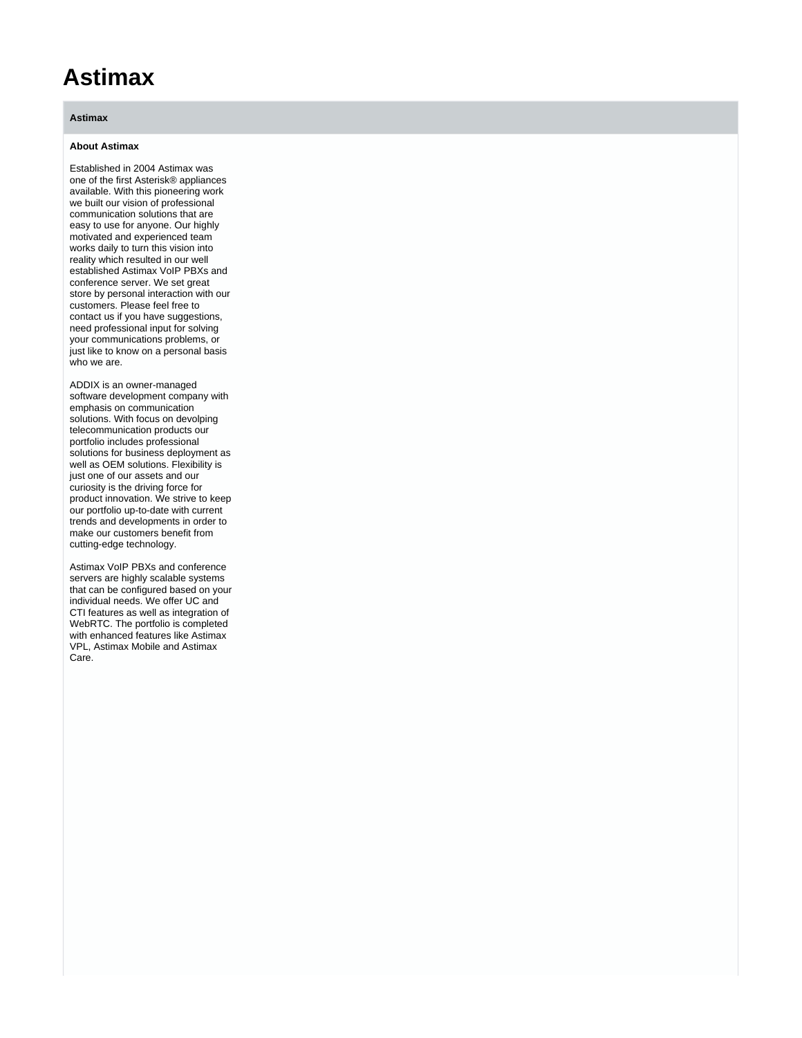## **Astimax**

## **Astimax**

## **About Astimax**

Established in 2004 Astimax was one of the first Asterisk® appliances available. With this pioneering work we built our vision of professional communication solutions that are easy to use for anyone. Our highly motivated and experienced team works daily to turn this vision into reality which resulted in our well established Astimax VoIP PBXs and conference server. We set great store by personal interaction with our customers. Please feel free to contact us if you have suggestions, need professional input for solving your communications problems, or just like to know on a personal basis who we are.

ADDIX is an owner-managed software development company with emphasis on communication solutions. With focus on devolping telecommunication products our portfolio includes professional solutions for business deployment as well as OEM solutions. Flexibility is just one of our assets and our curiosity is the driving force for product innovation. We strive to keep our portfolio up-to-date with current trends and developments in order to make our customers benefit from cutting-edge technology.

Astimax VoIP PBXs and conference servers are highly scalable systems that can be configured based on your individual needs. We offer UC and CTI features as well as integration of WebRTC. The portfolio is completed with enhanced features like Astimax VPL, Astimax Mobile and Astimax Care.